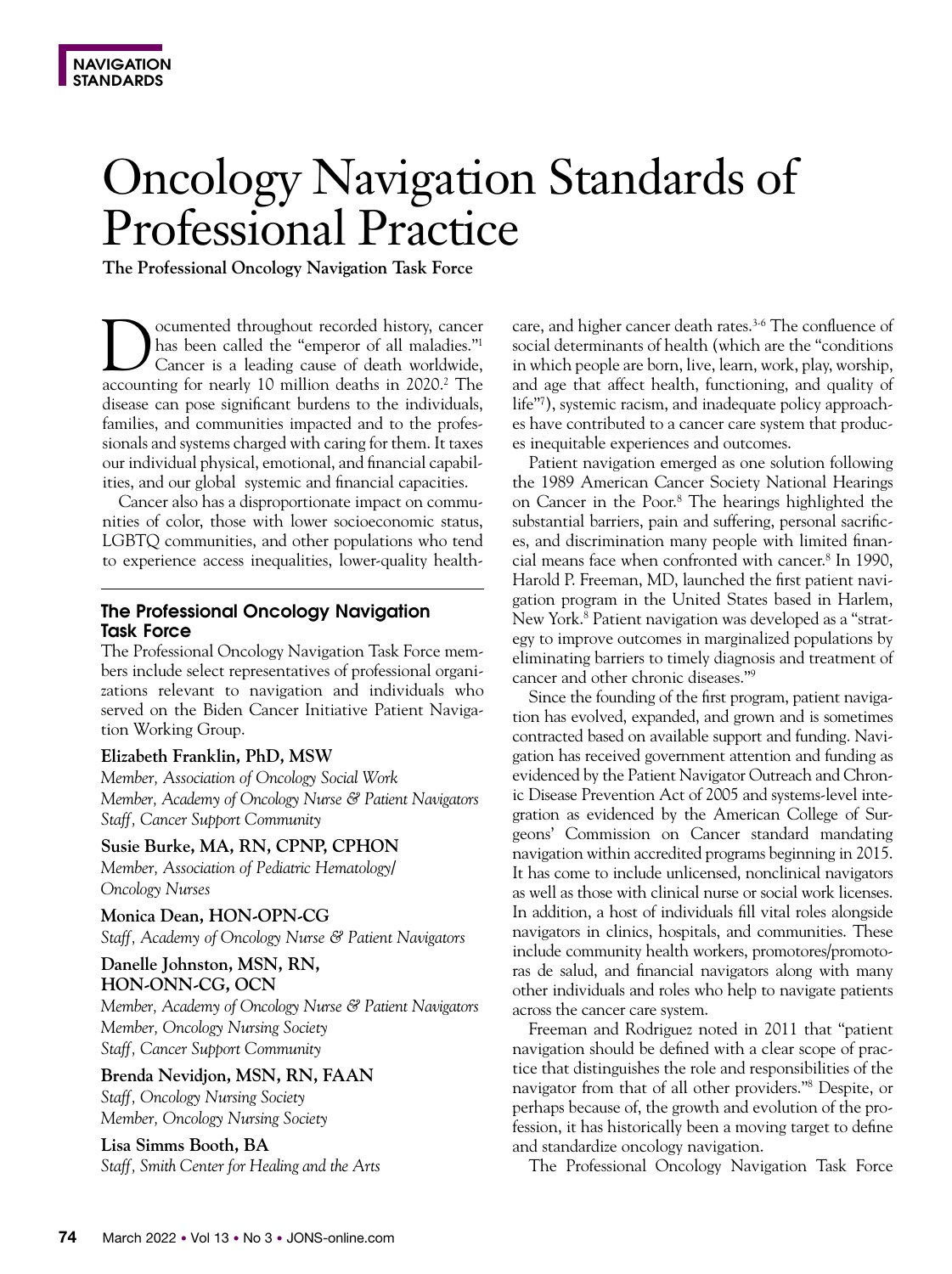# Oncology Navigation Standards of Professional Practice

**The Professional Oncology Navigation Task Force**

Documented throughout recorded history, cancer<br>has been called the "emperor of all maladies."<sup>1</sup><br>Cancer is a leading cause of death worldwide, has been called the "emperor of all maladies."1 Cancer is a leading cause of death worldwide, accounting for nearly 10 million deaths in 2020.<sup>2</sup> The disease can pose significant burdens to the individuals, families, and communities impacted and to the professionals and systems charged with caring for them. It taxes our individual physical, emotional, and financial capabilities, and our global systemic and financial capacities.

Cancer also has a disproportionate impact on communities of color, those with lower socioeconomic status, LGBTQ communities, and other populations who tend to experience access inequalities, lower-quality health-

## The Professional Oncology Navigation Task Force

The Professional Oncology Navigation Task Force members include select representatives of professional organizations relevant to navigation and individuals who served on the Biden Cancer Initiative Patient Navigation Working Group.

#### **Elizabeth Franklin, PhD, MSW**

*Member, Association of Oncology Social Work Member, Academy of Oncology Nurse & Patient Navigators Staff, Cancer Support Community*

**Susie Burke, MA, RN, CPNP, CPHON**

*Member, Association of Pediatric Hematology/ Oncology Nurses*

**Monica Dean, HON-OPN-CG** *Staff, Academy of Oncology Nurse & Patient Navigators*

## **Danelle Johnston, MSN, RN, HON-ONN-CG, OCN**

*Member, Academy of Oncology Nurse & Patient Navigators Member, Oncology Nursing Society Staff, Cancer Support Community*

**Brenda Nevidjon, MSN, RN, FAAN** *Staff, Oncology Nursing Society Member, Oncology Nursing Society*

**Lisa Simms Booth, BA**  *Staff, Smith Center for Healing and the Arts*

care, and higher cancer death rates.<sup>3-6</sup> The confluence of social determinants of health (which are the "conditions in which people are born, live, learn, work, play, worship, and age that affect health, functioning, and quality of life"7 ), systemic racism, and inadequate policy approaches have contributed to a cancer care system that produces inequitable experiences and outcomes.

Patient navigation emerged as one solution following the 1989 American Cancer Society National Hearings on Cancer in the Poor.<sup>8</sup> The hearings highlighted the substantial barriers, pain and suffering, personal sacrifices, and discrimination many people with limited financial means face when confronted with cancer.8 In 1990, Harold P. Freeman, MD, launched the first patient navigation program in the United States based in Harlem, New York.8 Patient navigation was developed as a "strategy to improve outcomes in marginalized populations by eliminating barriers to timely diagnosis and treatment of cancer and other chronic diseases."9

Since the founding of the first program, patient navigation has evolved, expanded, and grown and is sometimes contracted based on available support and funding. Navigation has received government attention and funding as evidenced by the Patient Navigator Outreach and Chronic Disease Prevention Act of 2005 and systems-level integration as evidenced by the American College of Surgeons' Commission on Cancer standard mandating navigation within accredited programs beginning in 2015. It has come to include unlicensed, nonclinical navigators as well as those with clinical nurse or social work licenses. In addition, a host of individuals fill vital roles alongside navigators in clinics, hospitals, and communities. These include community health workers, promotores/promotoras de salud, and financial navigators along with many other individuals and roles who help to navigate patients across the cancer care system.

Freeman and Rodriguez noted in 2011 that "patient navigation should be defined with a clear scope of practice that distinguishes the role and responsibilities of the navigator from that of all other providers."8 Despite, or perhaps because of, the growth and evolution of the profession, it has historically been a moving target to define and standardize oncology navigation.

The Professional Oncology Navigation Task Force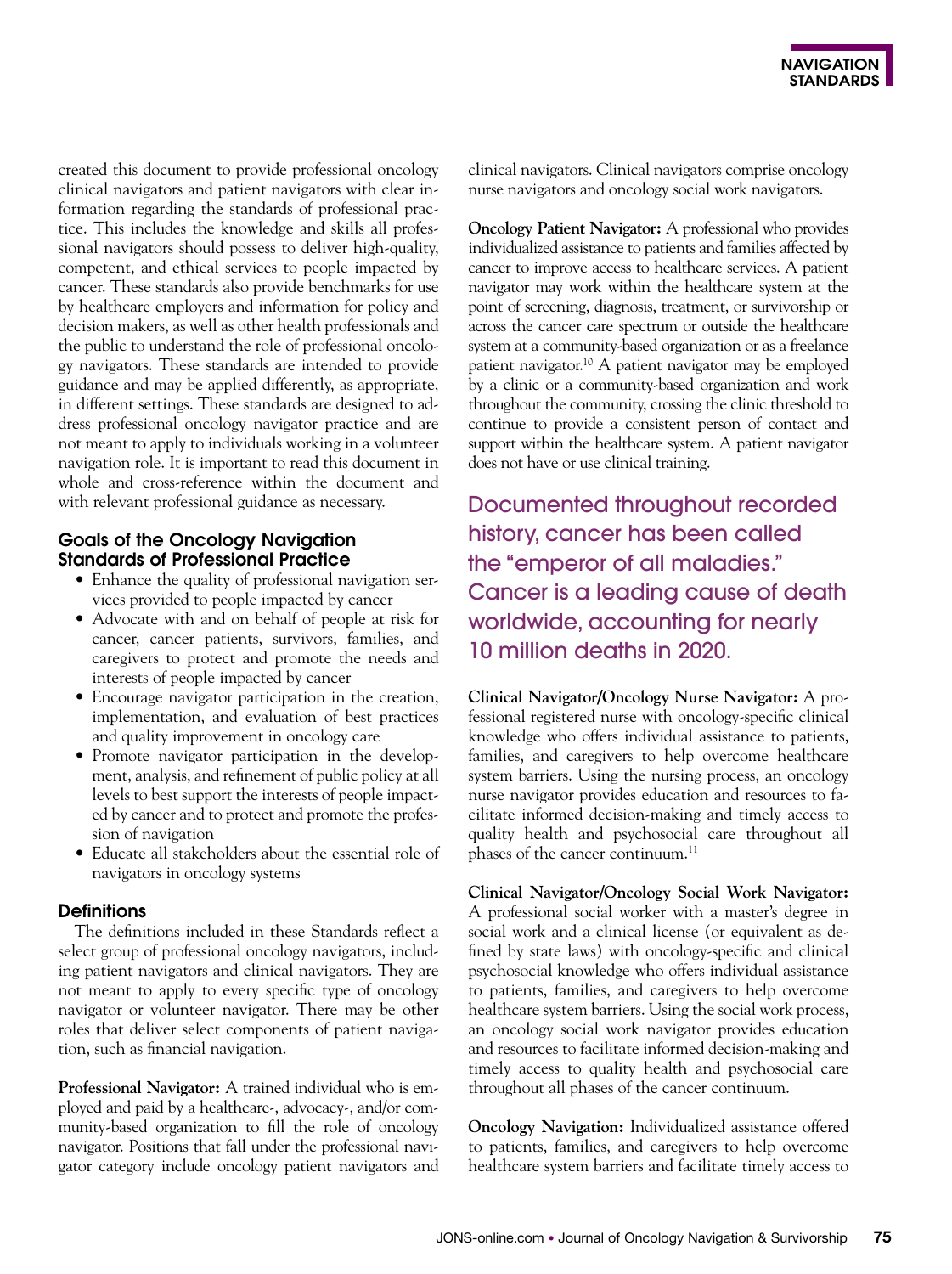created this document to provide professional oncology clinical navigators and patient navigators with clear information regarding the standards of professional practice. This includes the knowledge and skills all professional navigators should possess to deliver high-quality, competent, and ethical services to people impacted by cancer. These standards also provide benchmarks for use by healthcare employers and information for policy and decision makers, as well as other health professionals and the public to understand the role of professional oncology navigators. These standards are intended to provide guidance and may be applied differently, as appropriate, in different settings. These standards are designed to address professional oncology navigator practice and are not meant to apply to individuals working in a volunteer navigation role. It is important to read this document in whole and cross-reference within the document and with relevant professional guidance as necessary.

## Goals of the Oncology Navigation Standards of Professional Practice

- Enhance the quality of professional navigation services provided to people impacted by cancer
- Advocate with and on behalf of people at risk for cancer, cancer patients, survivors, families, and caregivers to protect and promote the needs and interests of people impacted by cancer
- Encourage navigator participation in the creation, implementation, and evaluation of best practices and quality improvement in oncology care
- Promote navigator participation in the development, analysis, and refinement of public policy at all levels to best support the interests of people impacted by cancer and to protect and promote the profession of navigation
- Educate all stakeholders about the essential role of navigators in oncology systems

## **Definitions**

The definitions included in these Standards reflect a select group of professional oncology navigators, including patient navigators and clinical navigators. They are not meant to apply to every specific type of oncology navigator or volunteer navigator. There may be other roles that deliver select components of patient navigation, such as financial navigation.

**Professional Navigator:** A trained individual who is employed and paid by a healthcare-, advocacy-, and/or community-based organization to fill the role of oncology navigator. Positions that fall under the professional navigator category include oncology patient navigators and clinical navigators. Clinical navigators comprise oncology nurse navigators and oncology social work navigators.

**Oncology Patient Navigator:** A professional who provides individualized assistance to patients and families affected by cancer to improve access to healthcare services. A patient navigator may work within the healthcare system at the point of screening, diagnosis, treatment, or survivorship or across the cancer care spectrum or outside the healthcare system at a community-based organization or as a freelance patient navigator.10 A patient navigator may be employed by a clinic or a community-based organization and work throughout the community, crossing the clinic threshold to continue to provide a consistent person of contact and support within the healthcare system. A patient navigator does not have or use clinical training.

Documented throughout recorded history, cancer has been called the "emperor of all maladies." Cancer is a leading cause of death worldwide, accounting for nearly 10 million deaths in 2020.

**Clinical Navigator/Oncology Nurse Navigator:** A professional registered nurse with oncology-specific clinical knowledge who offers individual assistance to patients, families, and caregivers to help overcome healthcare system barriers. Using the nursing process, an oncology nurse navigator provides education and resources to facilitate informed decision-making and timely access to quality health and psychosocial care throughout all phases of the cancer continuum.<sup>11</sup>

**Clinical Navigator/Oncology Social Work Navigator:**  A professional social worker with a master's degree in social work and a clinical license (or equivalent as defined by state laws) with oncology-specific and clinical psychosocial knowledge who offers individual assistance to patients, families, and caregivers to help overcome healthcare system barriers. Using the social work process, an oncology social work navigator provides education and resources to facilitate informed decision-making and timely access to quality health and psychosocial care throughout all phases of the cancer continuum.

**Oncology Navigation:** Individualized assistance offered to patients, families, and caregivers to help overcome healthcare system barriers and facilitate timely access to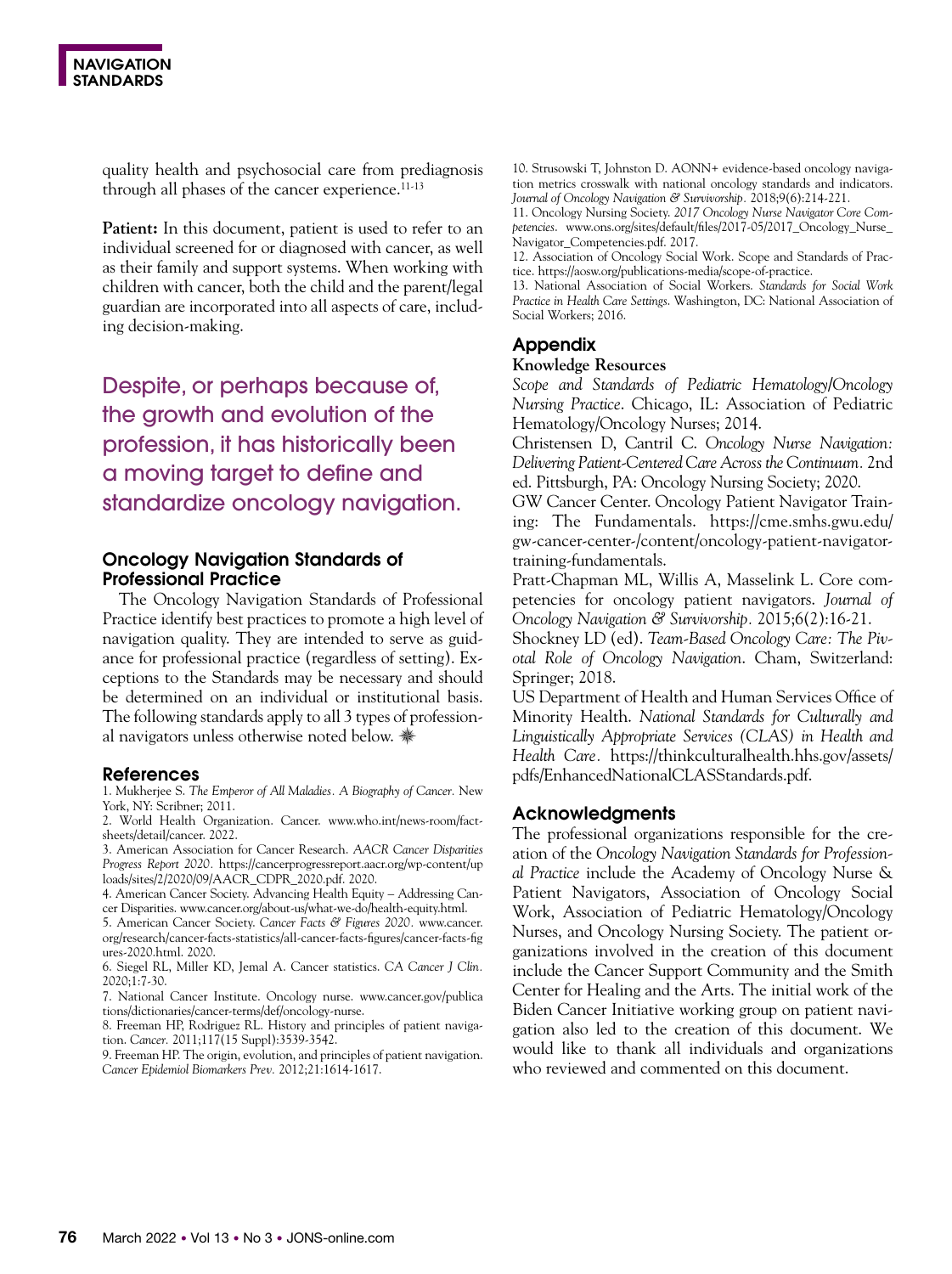quality health and psychosocial care from prediagnosis through all phases of the cancer experience.<sup>11-13</sup>

**Patient:** In this document, patient is used to refer to an individual screened for or diagnosed with cancer, as well as their family and support systems. When working with children with cancer, both the child and the parent/legal guardian are incorporated into all aspects of care, including decision-making.

Despite, or perhaps because of, the growth and evolution of the profession, it has historically been a moving target to define and standardize oncology navigation.

## Oncology Navigation Standards of Professional Practice

The Oncology Navigation Standards of Professional Practice identify best practices to promote a high level of navigation quality. They are intended to serve as guidance for professional practice (regardless of setting). Exceptions to the Standards may be necessary and should be determined on an individual or institutional basis. The following standards apply to all 3 types of professional navigators unless otherwise noted below. \*

#### References

1. Mukherjee S. *The Emperor of All Maladies. A Biography of Cancer.* New York, NY: Scribner; 2011.

2. World Health Organization. Cancer. www.who.int/news-room/factsheets/detail/cancer. 2022.

3. American Association for Cancer Research. *AACR Cancer Disparities Progress Report 2020.* https://cancerprogressreport.aacr.org/wp-content/up loads/sites/2/2020/09/AACR\_CDPR\_2020.pdf. 2020.

4. American Cancer Society. Advancing Health Equity – Addressing Cancer Disparities. www.cancer.org/about-us/what-we-do/health-equity.html.

5. American Cancer Society. *Cancer Facts & Figures 2020.* www.cancer. org/research/cancer-facts-statistics/all-cancer-facts-figures/cancer-facts-fig ures-2020.html. 2020.

6. Siegel RL, Miller KD, Jemal A. Cancer statistics. *CA Cancer J Clin.*  2020;1:7-30.

7. National Cancer Institute. Oncology nurse. www.cancer.gov/publica tions/dictionaries/cancer-terms/def/oncology-nurse.

8. Freeman HP, Rodriguez RL. History and principles of patient navigation. *Cancer.* 2011;117(15 Suppl):3539-3542.

9. Freeman HP. The origin, evolution, and principles of patient navigation. *Cancer Epidemiol Biomarkers Prev.* 2012;21:1614-1617.

10. Strusowski T, Johnston D. AONN+ evidence-based oncology navigation metrics crosswalk with national oncology standards and indicators. *Journal of Oncology Navigation & Survivorship.* 2018;9(6):214-221.

11. Oncology Nursing Society. *2017 Oncology Nurse Navigator Core Competencies*. www.ons.org/sites/default/files/2017-05/2017\_Oncology\_Nurse\_ Navigator\_Competencies.pdf. 2017.

12. Association of Oncology Social Work. Scope and Standards of Practice. https://aosw.org/publications-media/scope-of-practice.

13. National Association of Social Workers. *Standards for Social Work Practice in Health Care Settings*. Washington, DC: National Association of Social Workers; 2016.

## Appendix

#### **Knowledge Resources**

*Scope and Standards of Pediatric Hematology/Oncology Nursing Practice*. Chicago, IL: Association of Pediatric Hematology/Oncology Nurses; 2014.

Christensen D, Cantril C. *Oncology Nurse Navigation: Delivering Patient-Centered Care Across the Continuum.* 2nd ed. Pittsburgh, PA: Oncology Nursing Society; 2020.

GW Cancer Center. Oncology Patient Navigator Training: The Fundamentals. https://cme.smhs.gwu.edu/ gw-cancer-center-/content/oncology-patient-navigatortraining-fundamentals.

Pratt-Chapman ML, Willis A, Masselink L. Core competencies for oncology patient navigators. *Journal of Oncology Navigation & Survivorship.* 2015;6(2):16-21.

Shockney LD (ed). *Team-Based Oncology Care: The Pivotal Role of Oncology Navigation*. Cham, Switzerland: Springer; 2018.

US Department of Health and Human Services Office of Minority Health. *National Standards for Culturally and Linguistically Appropriate Services (CLAS) in Health and Health Care.* https://thinkculturalhealth.hhs.gov/assets/ pdfs/EnhancedNationalCLASStandards.pdf.

## Acknowledgments

The professional organizations responsible for the creation of the *Oncology Navigation Standards for Professional Practice* include the Academy of Oncology Nurse & Patient Navigators, Association of Oncology Social Work, Association of Pediatric Hematology/Oncology Nurses, and Oncology Nursing Society. The patient organizations involved in the creation of this document include the Cancer Support Community and the Smith Center for Healing and the Arts. The initial work of the Biden Cancer Initiative working group on patient navigation also led to the creation of this document. We would like to thank all individuals and organizations who reviewed and commented on this document.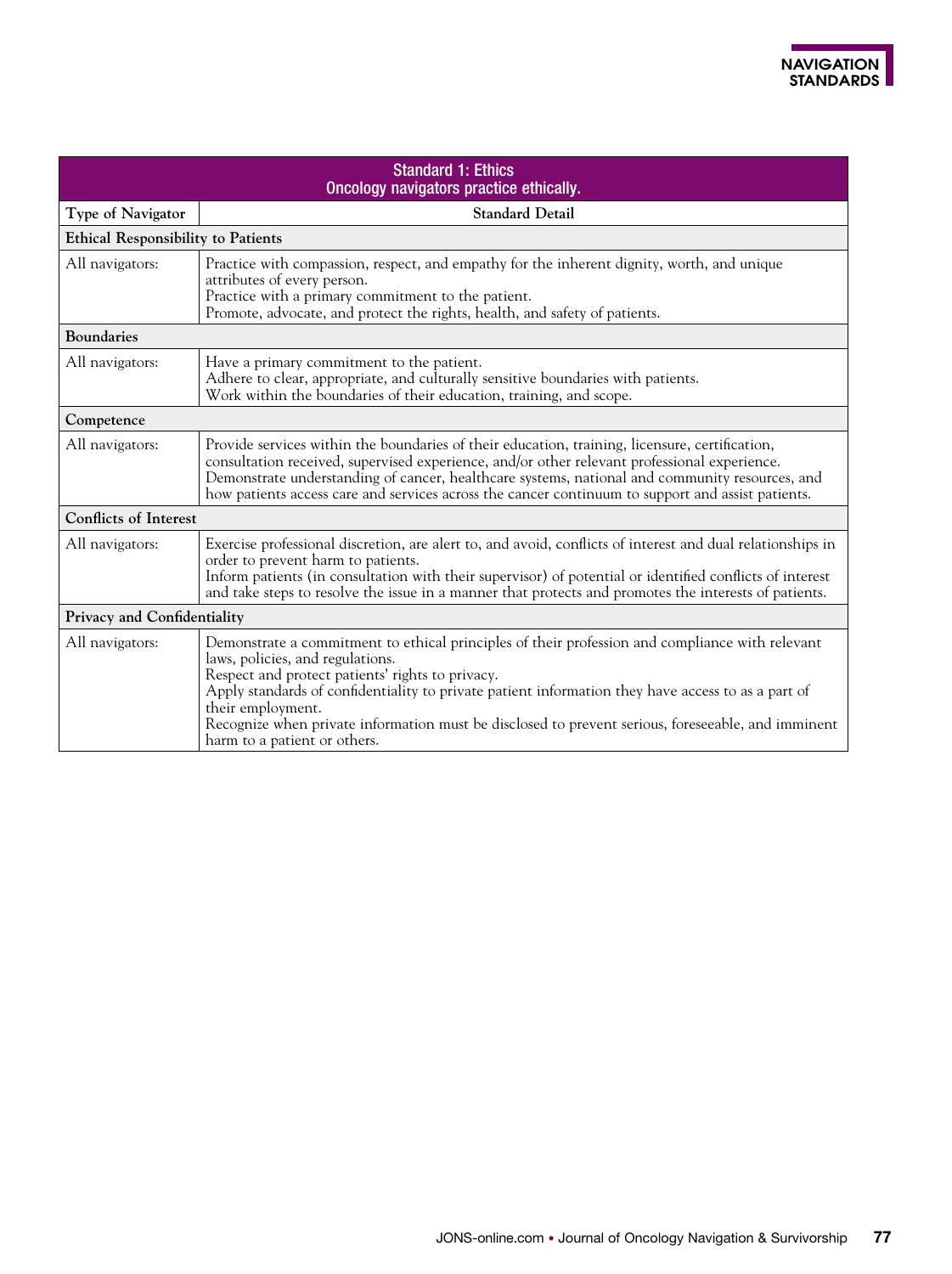| <b>Standard 1: Ethics</b><br>Oncology navigators practice ethically. |                                                                                                                                                                                                                                                                                                                                                                                                                                                          |  |  |
|----------------------------------------------------------------------|----------------------------------------------------------------------------------------------------------------------------------------------------------------------------------------------------------------------------------------------------------------------------------------------------------------------------------------------------------------------------------------------------------------------------------------------------------|--|--|
| Type of Navigator                                                    | <b>Standard Detail</b>                                                                                                                                                                                                                                                                                                                                                                                                                                   |  |  |
| <b>Ethical Responsibility to Patients</b>                            |                                                                                                                                                                                                                                                                                                                                                                                                                                                          |  |  |
| All navigators:                                                      | Practice with compassion, respect, and empathy for the inherent dignity, worth, and unique<br>attributes of every person.<br>Practice with a primary commitment to the patient.<br>Promote, advocate, and protect the rights, health, and safety of patients.                                                                                                                                                                                            |  |  |
| <b>Boundaries</b>                                                    |                                                                                                                                                                                                                                                                                                                                                                                                                                                          |  |  |
| All navigators:                                                      | Have a primary commitment to the patient.<br>Adhere to clear, appropriate, and culturally sensitive boundaries with patients.<br>Work within the boundaries of their education, training, and scope.                                                                                                                                                                                                                                                     |  |  |
| Competence                                                           |                                                                                                                                                                                                                                                                                                                                                                                                                                                          |  |  |
| All navigators:                                                      | Provide services within the boundaries of their education, training, licensure, certification,<br>consultation received, supervised experience, and/or other relevant professional experience.<br>Demonstrate understanding of cancer, healthcare systems, national and community resources, and<br>how patients access care and services across the cancer continuum to support and assist patients.                                                    |  |  |
| <b>Conflicts of Interest</b>                                         |                                                                                                                                                                                                                                                                                                                                                                                                                                                          |  |  |
| All navigators:                                                      | Exercise professional discretion, are alert to, and avoid, conflicts of interest and dual relationships in<br>order to prevent harm to patients.<br>Inform patients (in consultation with their supervisor) of potential or identified conflicts of interest<br>and take steps to resolve the issue in a manner that protects and promotes the interests of patients.                                                                                    |  |  |
|                                                                      | Privacy and Confidentiality                                                                                                                                                                                                                                                                                                                                                                                                                              |  |  |
| All navigators:                                                      | Demonstrate a commitment to ethical principles of their profession and compliance with relevant<br>laws, policies, and regulations.<br>Respect and protect patients' rights to privacy.<br>Apply standards of confidentiality to private patient information they have access to as a part of<br>their employment.<br>Recognize when private information must be disclosed to prevent serious, foreseeable, and imminent<br>harm to a patient or others. |  |  |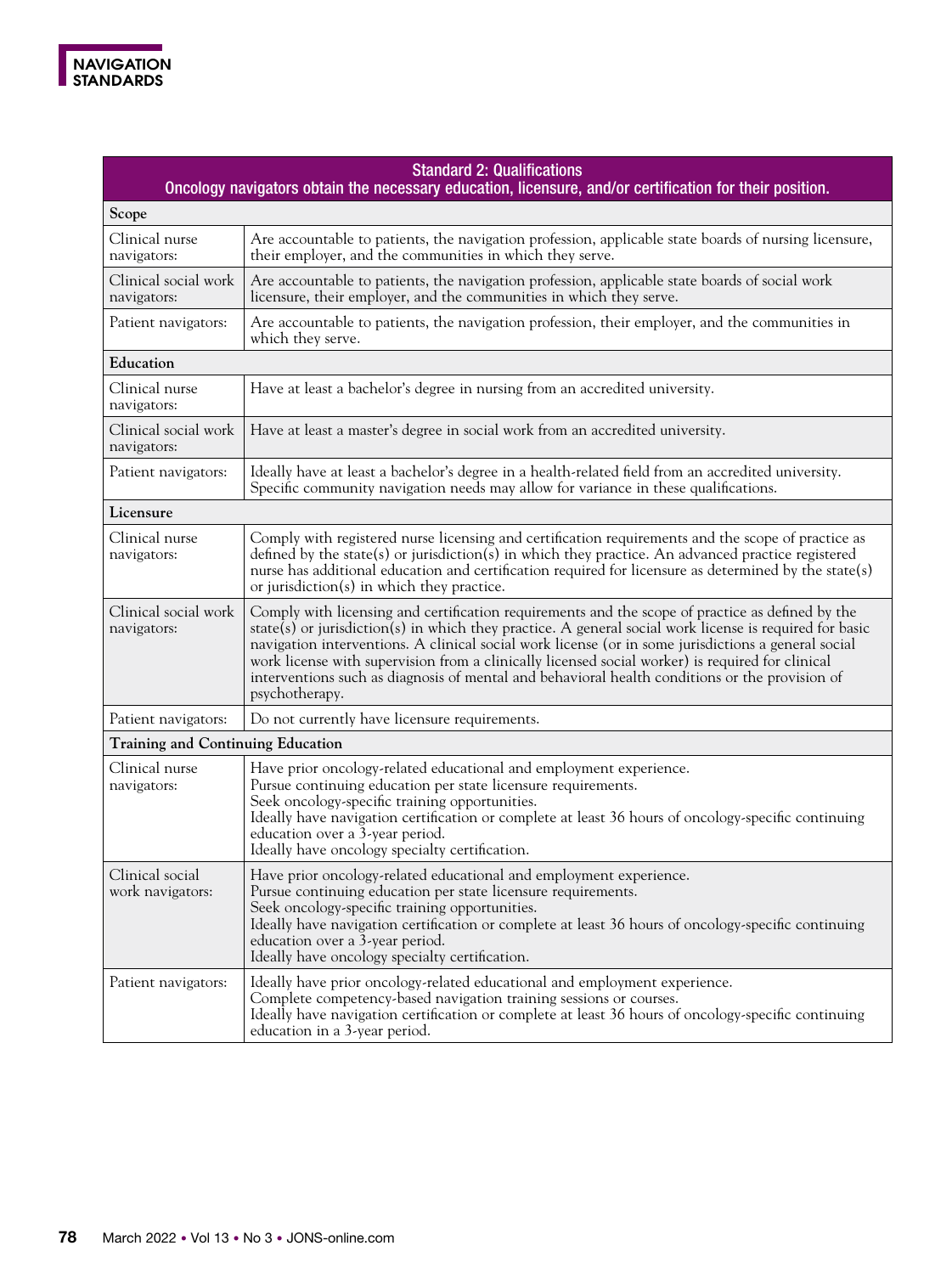

| <b>Standard 2: Qualifications</b><br>Oncology navigators obtain the necessary education, licensure, and/or certification for their position. |                                                                                                                                                                                                                                                                                                                                                                                                                                                                                                                                            |  |
|----------------------------------------------------------------------------------------------------------------------------------------------|--------------------------------------------------------------------------------------------------------------------------------------------------------------------------------------------------------------------------------------------------------------------------------------------------------------------------------------------------------------------------------------------------------------------------------------------------------------------------------------------------------------------------------------------|--|
| Scope                                                                                                                                        |                                                                                                                                                                                                                                                                                                                                                                                                                                                                                                                                            |  |
| Clinical nurse<br>navigators:                                                                                                                | Are accountable to patients, the navigation profession, applicable state boards of nursing licensure,<br>their employer, and the communities in which they serve.                                                                                                                                                                                                                                                                                                                                                                          |  |
| Clinical social work<br>navigators:                                                                                                          | Are accountable to patients, the navigation profession, applicable state boards of social work<br>licensure, their employer, and the communities in which they serve.                                                                                                                                                                                                                                                                                                                                                                      |  |
| Patient navigators:                                                                                                                          | Are accountable to patients, the navigation profession, their employer, and the communities in<br>which they serve.                                                                                                                                                                                                                                                                                                                                                                                                                        |  |
| Education                                                                                                                                    |                                                                                                                                                                                                                                                                                                                                                                                                                                                                                                                                            |  |
| Clinical nurse<br>navigators:                                                                                                                | Have at least a bachelor's degree in nursing from an accredited university.                                                                                                                                                                                                                                                                                                                                                                                                                                                                |  |
| Clinical social work<br>navigators:                                                                                                          | Have at least a master's degree in social work from an accredited university.                                                                                                                                                                                                                                                                                                                                                                                                                                                              |  |
| Patient navigators:                                                                                                                          | Ideally have at least a bachelor's degree in a health-related field from an accredited university.<br>Specific community navigation needs may allow for variance in these qualifications.                                                                                                                                                                                                                                                                                                                                                  |  |
| Licensure                                                                                                                                    |                                                                                                                                                                                                                                                                                                                                                                                                                                                                                                                                            |  |
| Clinical nurse<br>navigators:                                                                                                                | Comply with registered nurse licensing and certification requirements and the scope of practice as<br>defined by the state(s) or jurisdiction(s) in which they practice. An advanced practice registered<br>nurse has additional education and certification required for licensure as determined by the state(s)<br>or jurisdiction(s) in which they practice.                                                                                                                                                                            |  |
| Clinical social work<br>navigators:                                                                                                          | Comply with licensing and certification requirements and the scope of practice as defined by the<br>state(s) or jurisdiction(s) in which they practice. A general social work license is required for basic<br>navigation interventions. A clinical social work license (or in some jurisdictions a general social<br>work license with supervision from a clinically licensed social worker) is required for clinical<br>interventions such as diagnosis of mental and behavioral health conditions or the provision of<br>psychotherapy. |  |
| Patient navigators:                                                                                                                          | Do not currently have licensure requirements.                                                                                                                                                                                                                                                                                                                                                                                                                                                                                              |  |
| <b>Training and Continuing Education</b>                                                                                                     |                                                                                                                                                                                                                                                                                                                                                                                                                                                                                                                                            |  |
| Clinical nurse<br>navigators:                                                                                                                | Have prior oncology-related educational and employment experience.<br>Pursue continuing education per state licensure requirements.<br>Seek oncology-specific training opportunities.<br>Ideally have navigation certification or complete at least 36 hours of oncology-specific continuing<br>education over a 3-year period.<br>Ideally have oncology specialty certification.                                                                                                                                                          |  |
| Clinical social<br>work navigators:                                                                                                          | Have prior oncology-related educational and employment experience.<br>Pursue continuing education per state licensure requirements.<br>Seek oncology-specific training opportunities.<br>Ideally have navigation certification or complete at least 36 hours of oncology-specific continuing<br>education over a 3-year period.<br>Ideally have oncology specialty certification.                                                                                                                                                          |  |
| Patient navigators:                                                                                                                          | Ideally have prior oncology-related educational and employment experience.<br>Complete competency-based navigation training sessions or courses.<br>Ideally have navigation certification or complete at least 36 hours of oncology-specific continuing<br>education in a 3-year period.                                                                                                                                                                                                                                                   |  |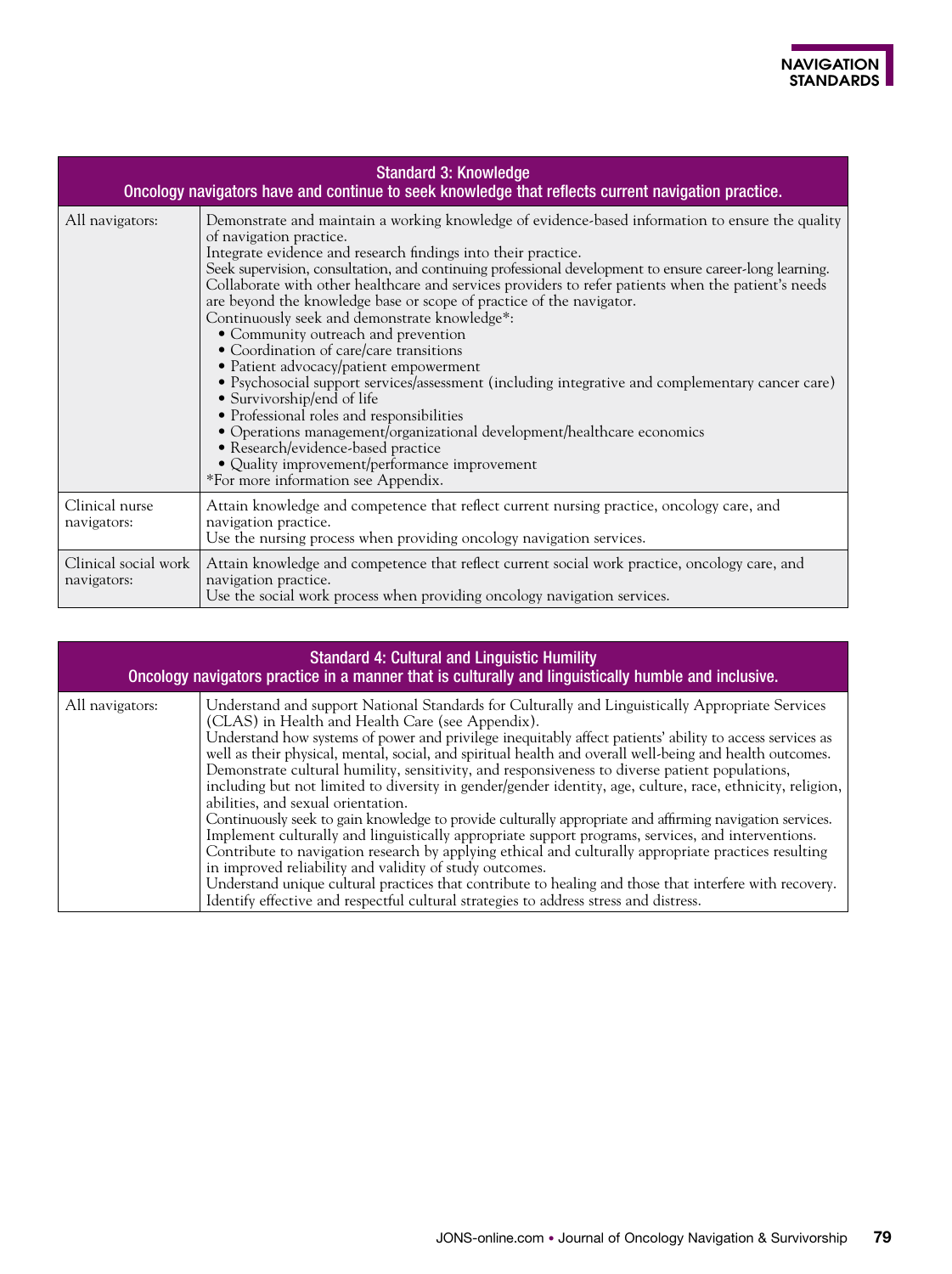| <b>Standard 3: Knowledge</b><br>Oncology navigators have and continue to seek knowledge that reflects current navigation practice. |                                                                                                                                                                                                                                                                                                                                                                                                                                                                                                                                                                                                                                                                                                                                                                                                                                                                                                                                                                                                                                                             |  |
|------------------------------------------------------------------------------------------------------------------------------------|-------------------------------------------------------------------------------------------------------------------------------------------------------------------------------------------------------------------------------------------------------------------------------------------------------------------------------------------------------------------------------------------------------------------------------------------------------------------------------------------------------------------------------------------------------------------------------------------------------------------------------------------------------------------------------------------------------------------------------------------------------------------------------------------------------------------------------------------------------------------------------------------------------------------------------------------------------------------------------------------------------------------------------------------------------------|--|
| All navigators:                                                                                                                    | Demonstrate and maintain a working knowledge of evidence-based information to ensure the quality<br>of navigation practice.<br>Integrate evidence and research findings into their practice.<br>Seek supervision, consultation, and continuing professional development to ensure career-long learning.<br>Collaborate with other healthcare and services providers to refer patients when the patient's needs<br>are beyond the knowledge base or scope of practice of the navigator.<br>Continuously seek and demonstrate knowledge*:<br>• Community outreach and prevention<br>• Coordination of care/care transitions<br>• Patient advocacy/patient empowerment<br>• Psychosocial support services/assessment (including integrative and complementary cancer care)<br>• Survivorship/end of life<br>• Professional roles and responsibilities<br>· Operations management/organizational development/healthcare economics<br>• Research/evidence-based practice<br>• Quality improvement/performance improvement<br>*For more information see Appendix. |  |
| Clinical nurse<br>navigators:                                                                                                      | Attain knowledge and competence that reflect current nursing practice, oncology care, and<br>navigation practice.<br>Use the nursing process when providing oncology navigation services.                                                                                                                                                                                                                                                                                                                                                                                                                                                                                                                                                                                                                                                                                                                                                                                                                                                                   |  |
| Clinical social work<br>navigators:                                                                                                | Attain knowledge and competence that reflect current social work practice, oncology care, and<br>navigation practice.<br>Use the social work process when providing oncology navigation services.                                                                                                                                                                                                                                                                                                                                                                                                                                                                                                                                                                                                                                                                                                                                                                                                                                                           |  |

| <b>Standard 4: Cultural and Linguistic Humility</b><br>Oncology navigators practice in a manner that is culturally and linguistically humble and inclusive. |                                                                                                                                                                                                                                                                                                                                                                                                                                                                                                                                                                                                                                                                                                                                                                                                                                                                                                                                                                                                                                                                                                                                                                                                                             |  |
|-------------------------------------------------------------------------------------------------------------------------------------------------------------|-----------------------------------------------------------------------------------------------------------------------------------------------------------------------------------------------------------------------------------------------------------------------------------------------------------------------------------------------------------------------------------------------------------------------------------------------------------------------------------------------------------------------------------------------------------------------------------------------------------------------------------------------------------------------------------------------------------------------------------------------------------------------------------------------------------------------------------------------------------------------------------------------------------------------------------------------------------------------------------------------------------------------------------------------------------------------------------------------------------------------------------------------------------------------------------------------------------------------------|--|
| All navigators:                                                                                                                                             | Understand and support National Standards for Culturally and Linguistically Appropriate Services<br>(CLAS) in Health and Health Care (see Appendix).<br>Understand how systems of power and privilege inequitably affect patients' ability to access services as<br>well as their physical, mental, social, and spiritual health and overall well-being and health outcomes.<br>Demonstrate cultural humility, sensitivity, and responsiveness to diverse patient populations,<br>including but not limited to diversity in gender/gender identity, age, culture, race, ethnicity, religion,<br>abilities, and sexual orientation.<br>Continuously seek to gain knowledge to provide culturally appropriate and affirming navigation services.<br>Implement culturally and linguistically appropriate support programs, services, and interventions.<br>Contribute to navigation research by applying ethical and culturally appropriate practices resulting<br>in improved reliability and validity of study outcomes.<br>Understand unique cultural practices that contribute to healing and those that interfere with recovery.<br>Identify effective and respectful cultural strategies to address stress and distress. |  |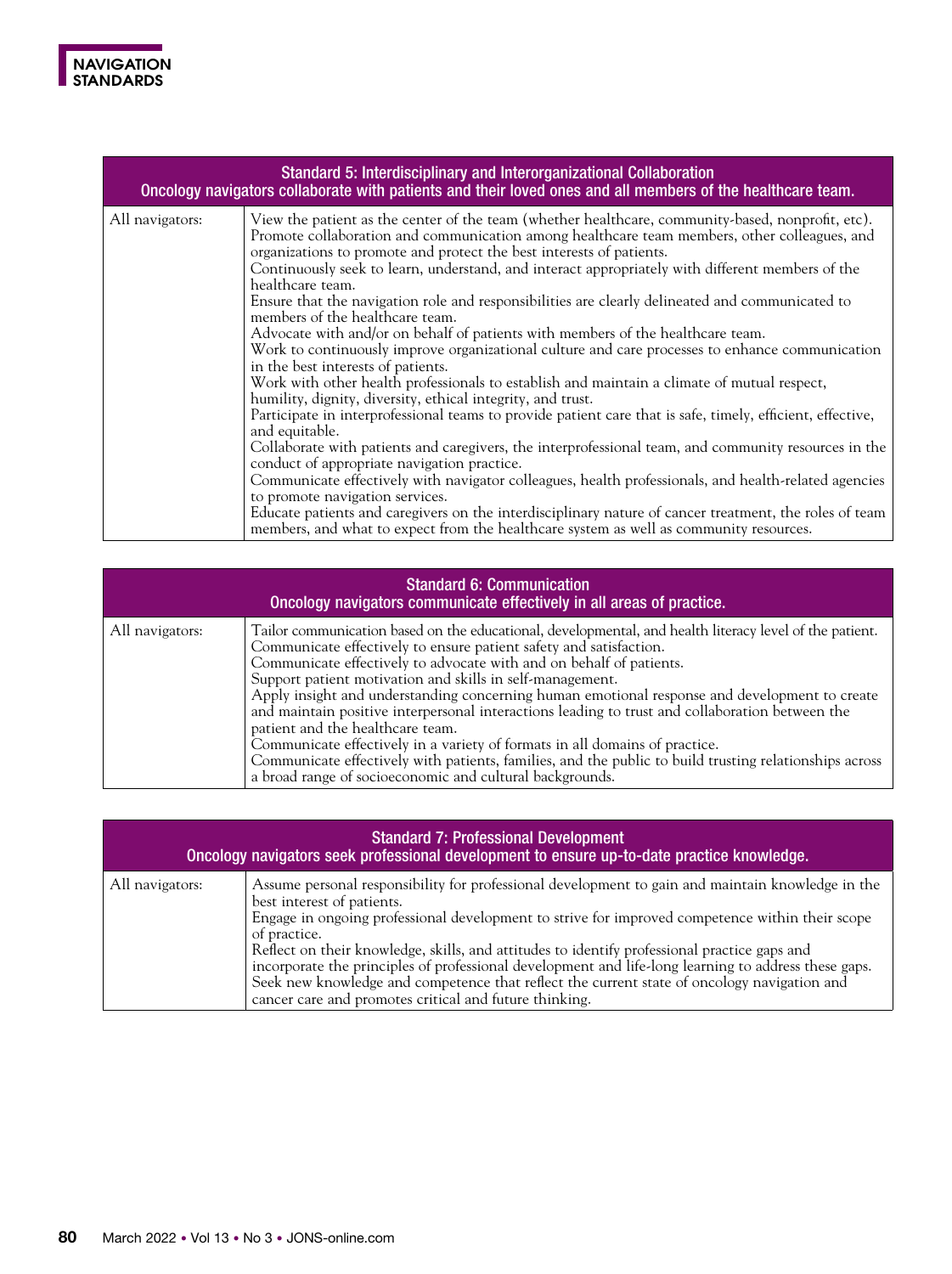

| Standard 5: Interdisciplinary and Interorganizational Collaboration<br>Oncology navigators collaborate with patients and their loved ones and all members of the healthcare team. |                                                                                                                                                                                                                                                                                                                                                                                                                                                                                                                                                                                                                                                                                                                                                                                                                                                                                                                                                                                                                                                                                                                                                                                                                                                                                                                                                                                                                                                                                                                                                                         |
|-----------------------------------------------------------------------------------------------------------------------------------------------------------------------------------|-------------------------------------------------------------------------------------------------------------------------------------------------------------------------------------------------------------------------------------------------------------------------------------------------------------------------------------------------------------------------------------------------------------------------------------------------------------------------------------------------------------------------------------------------------------------------------------------------------------------------------------------------------------------------------------------------------------------------------------------------------------------------------------------------------------------------------------------------------------------------------------------------------------------------------------------------------------------------------------------------------------------------------------------------------------------------------------------------------------------------------------------------------------------------------------------------------------------------------------------------------------------------------------------------------------------------------------------------------------------------------------------------------------------------------------------------------------------------------------------------------------------------------------------------------------------------|
| All navigators:                                                                                                                                                                   | View the patient as the center of the team (whether healthcare, community-based, nonprofit, etc).<br>Promote collaboration and communication among healthcare team members, other colleagues, and<br>organizations to promote and protect the best interests of patients.<br>Continuously seek to learn, understand, and interact appropriately with different members of the<br>healthcare team.<br>Ensure that the navigation role and responsibilities are clearly delineated and communicated to<br>members of the healthcare team.<br>Advocate with and/or on behalf of patients with members of the healthcare team.<br>Work to continuously improve organizational culture and care processes to enhance communication<br>in the best interests of patients.<br>Work with other health professionals to establish and maintain a climate of mutual respect,<br>humility, dignity, diversity, ethical integrity, and trust.<br>Participate in interprofessional teams to provide patient care that is safe, timely, efficient, effective,<br>and equitable.<br>Collaborate with patients and caregivers, the interprofessional team, and community resources in the<br>conduct of appropriate navigation practice.<br>Communicate effectively with navigator colleagues, health professionals, and health-related agencies<br>to promote navigation services.<br>Educate patients and caregivers on the interdisciplinary nature of cancer treatment, the roles of team<br>members, and what to expect from the healthcare system as well as community resources. |

| <b>Standard 6: Communication</b><br>Oncology navigators communicate effectively in all areas of practice. |                                                                                                                                                                                                                                                                                                                                                                                                                                                                                                                                                                                                                                                                                                                                                                                                                |
|-----------------------------------------------------------------------------------------------------------|----------------------------------------------------------------------------------------------------------------------------------------------------------------------------------------------------------------------------------------------------------------------------------------------------------------------------------------------------------------------------------------------------------------------------------------------------------------------------------------------------------------------------------------------------------------------------------------------------------------------------------------------------------------------------------------------------------------------------------------------------------------------------------------------------------------|
| All navigators:                                                                                           | Tailor communication based on the educational, developmental, and health literacy level of the patient.<br>Communicate effectively to ensure patient safety and satisfaction.<br>Communicate effectively to advocate with and on behalf of patients.<br>Support patient motivation and skills in self-management.<br>Apply insight and understanding concerning human emotional response and development to create<br>and maintain positive interpersonal interactions leading to trust and collaboration between the<br>patient and the healthcare team.<br>Communicate effectively in a variety of formats in all domains of practice.<br>Communicate effectively with patients, families, and the public to build trusting relationships across<br>a broad range of socioeconomic and cultural backgrounds. |

| <b>Standard 7: Professional Development</b><br>Oncology navigators seek professional development to ensure up-to-date practice knowledge. |                                                                                                                                                                                                                                                                                                                                                                                                                                                                                                                                                                                                                     |
|-------------------------------------------------------------------------------------------------------------------------------------------|---------------------------------------------------------------------------------------------------------------------------------------------------------------------------------------------------------------------------------------------------------------------------------------------------------------------------------------------------------------------------------------------------------------------------------------------------------------------------------------------------------------------------------------------------------------------------------------------------------------------|
| All navigators:                                                                                                                           | Assume personal responsibility for professional development to gain and maintain knowledge in the<br>best interest of patients.<br>Engage in ongoing professional development to strive for improved competence within their scope<br>of practice.<br>Reflect on their knowledge, skills, and attitudes to identify professional practice gaps and<br>incorporate the principles of professional development and life-long learning to address these gaps.<br>Seek new knowledge and competence that reflect the current state of oncology navigation and<br>cancer care and promotes critical and future thinking. |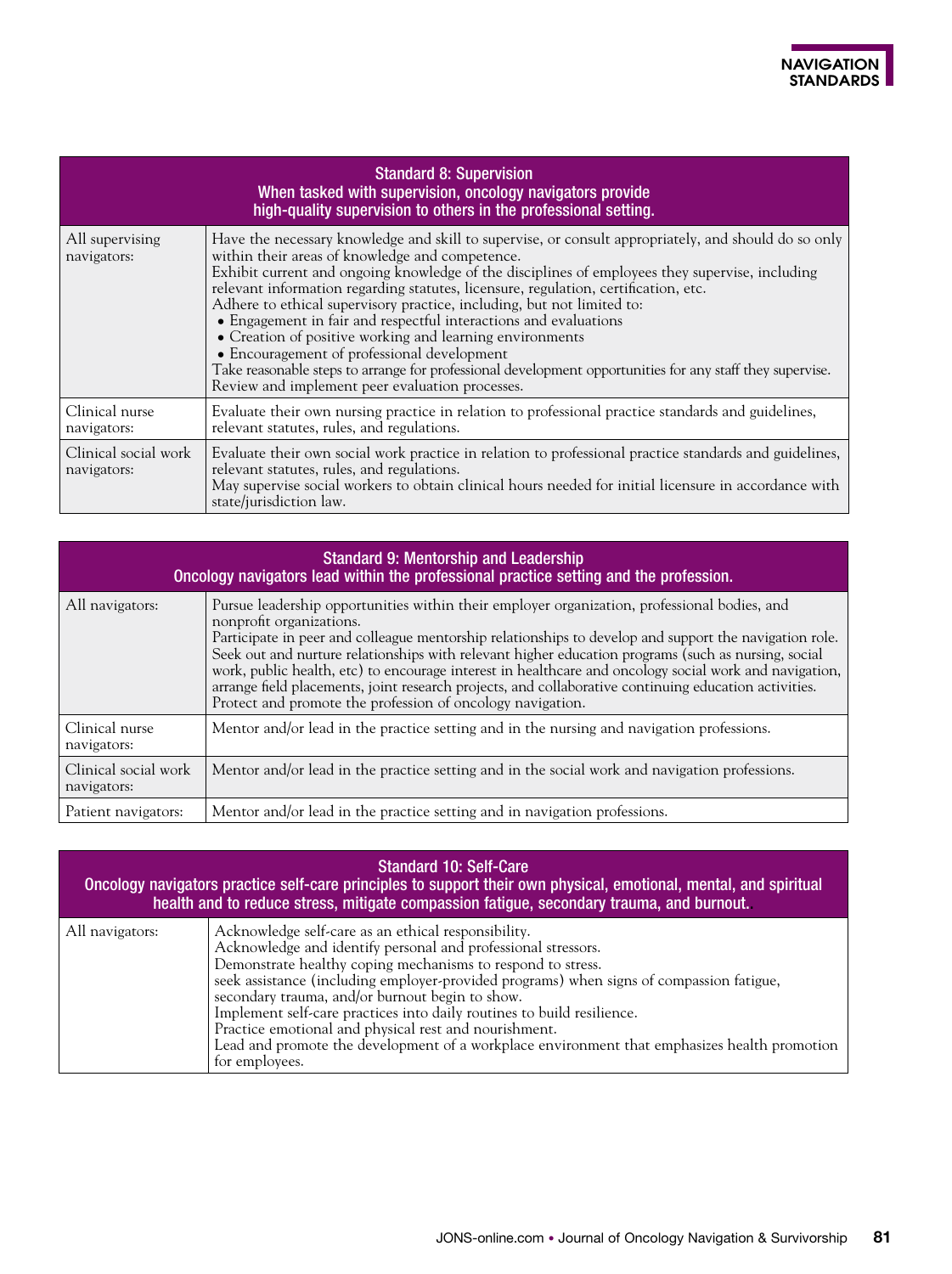|                                     | <b>Standard 8: Supervision</b><br>When tasked with supervision, oncology navigators provide<br>high-quality supervision to others in the professional setting.                                                                                                                                                                                                                                                                                                                                                                                                                                                                                                                                                                                                             |
|-------------------------------------|----------------------------------------------------------------------------------------------------------------------------------------------------------------------------------------------------------------------------------------------------------------------------------------------------------------------------------------------------------------------------------------------------------------------------------------------------------------------------------------------------------------------------------------------------------------------------------------------------------------------------------------------------------------------------------------------------------------------------------------------------------------------------|
| All supervising<br>navigators:      | Have the necessary knowledge and skill to supervise, or consult appropriately, and should do so only<br>within their areas of knowledge and competence.<br>Exhibit current and ongoing knowledge of the disciplines of employees they supervise, including<br>relevant information regarding statutes, licensure, regulation, certification, etc.<br>Adhere to ethical supervisory practice, including, but not limited to:<br>• Engagement in fair and respectful interactions and evaluations<br>• Creation of positive working and learning environments<br>• Encouragement of professional development<br>Take reasonable steps to arrange for professional development opportunities for any staff they supervise.<br>Review and implement peer evaluation processes. |
| Clinical nurse<br>navigators:       | Evaluate their own nursing practice in relation to professional practice standards and guidelines,<br>relevant statutes, rules, and regulations.                                                                                                                                                                                                                                                                                                                                                                                                                                                                                                                                                                                                                           |
| Clinical social work<br>navigators: | Evaluate their own social work practice in relation to professional practice standards and guidelines,<br>relevant statutes, rules, and regulations.<br>May supervise social workers to obtain clinical hours needed for initial licensure in accordance with<br>state/jurisdiction law.                                                                                                                                                                                                                                                                                                                                                                                                                                                                                   |

| <b>Standard 9: Mentorship and Leadership</b><br>Oncology navigators lead within the professional practice setting and the profession. |                                                                                                                                                                                                                                                                                                                                                                                                                                                                                                                                                                                                                            |
|---------------------------------------------------------------------------------------------------------------------------------------|----------------------------------------------------------------------------------------------------------------------------------------------------------------------------------------------------------------------------------------------------------------------------------------------------------------------------------------------------------------------------------------------------------------------------------------------------------------------------------------------------------------------------------------------------------------------------------------------------------------------------|
| All navigators:                                                                                                                       | Pursue leadership opportunities within their employer organization, professional bodies, and<br>nonprofit organizations.<br>Participate in peer and colleague mentorship relationships to develop and support the navigation role.<br>Seek out and nurture relationships with relevant higher education programs (such as nursing, social<br>work, public health, etc) to encourage interest in healthcare and oncology social work and navigation,<br>arrange field placements, joint research projects, and collaborative continuing education activities.<br>Protect and promote the profession of oncology navigation. |
| Clinical nurse<br>navigators:                                                                                                         | Mentor and/or lead in the practice setting and in the nursing and navigation professions.                                                                                                                                                                                                                                                                                                                                                                                                                                                                                                                                  |
| Clinical social work<br>navigators:                                                                                                   | Mentor and/or lead in the practice setting and in the social work and navigation professions.                                                                                                                                                                                                                                                                                                                                                                                                                                                                                                                              |
| Patient navigators:                                                                                                                   | Mentor and/or lead in the practice setting and in navigation professions.                                                                                                                                                                                                                                                                                                                                                                                                                                                                                                                                                  |

| <b>Standard 10: Self-Care</b><br>Oncology navigators practice self-care principles to support their own physical, emotional, mental, and spiritual<br>health and to reduce stress, mitigate compassion fatigue, secondary trauma, and burnout. |                                                                                                                                                                                                                                                                                                                                                                                                                                                                                                                                                                                         |
|------------------------------------------------------------------------------------------------------------------------------------------------------------------------------------------------------------------------------------------------|-----------------------------------------------------------------------------------------------------------------------------------------------------------------------------------------------------------------------------------------------------------------------------------------------------------------------------------------------------------------------------------------------------------------------------------------------------------------------------------------------------------------------------------------------------------------------------------------|
| All navigators:                                                                                                                                                                                                                                | Acknowledge self-care as an ethical responsibility.<br>Acknowledge and identify personal and professional stressors.<br>Demonstrate healthy coping mechanisms to respond to stress.<br>seek assistance (including employer-provided programs) when signs of compassion fatigue,<br>secondary trauma, and/or burnout begin to show.<br>Implement self-care practices into daily routines to build resilience.<br>Practice emotional and physical rest and nourishment.<br>Lead and promote the development of a workplace environment that emphasizes health promotion<br>for employees. |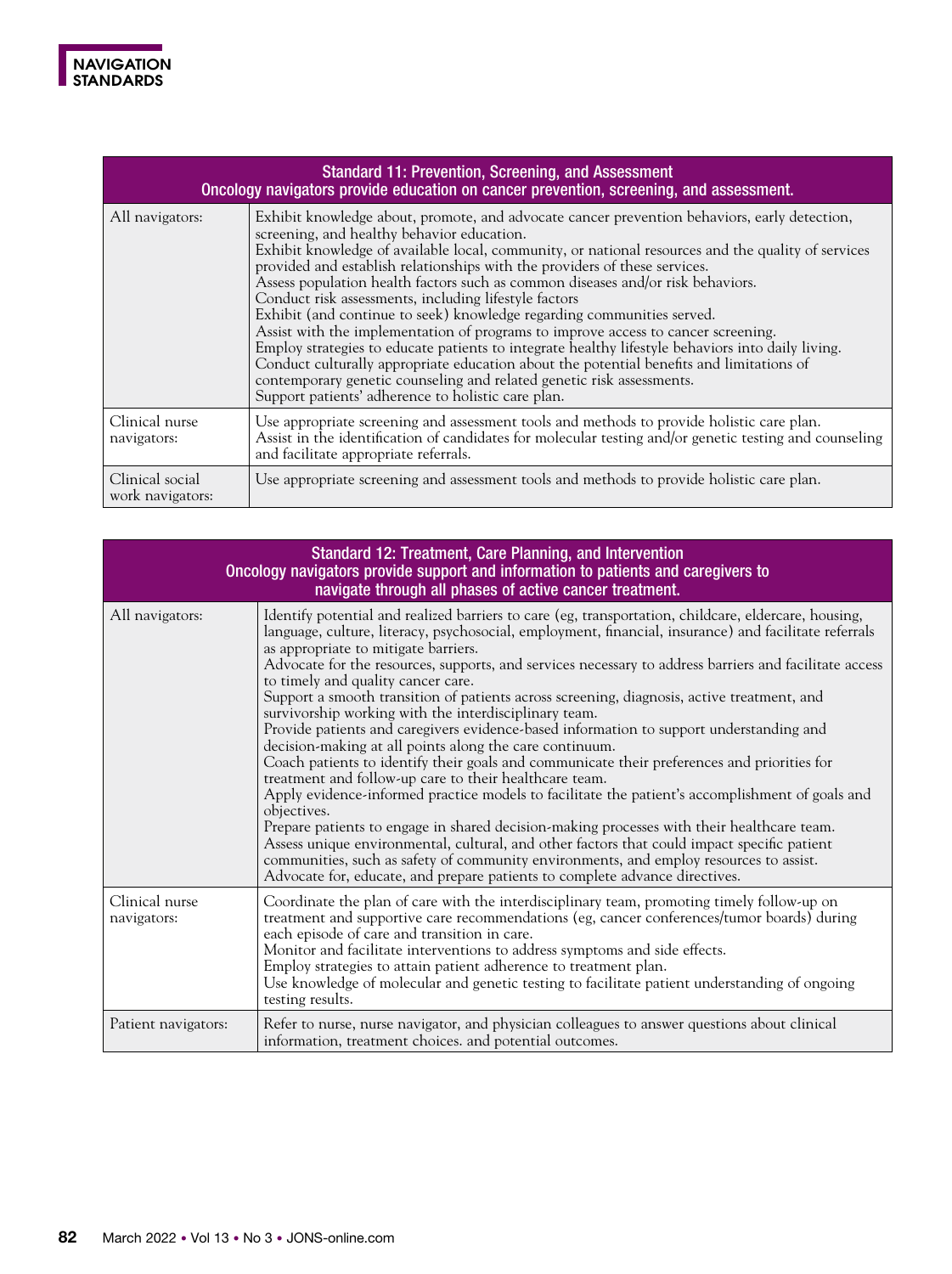| <b>Standard 11: Prevention, Screening, and Assessment</b><br>Oncology navigators provide education on cancer prevention, screening, and assessment. |                                                                                                                                                                                                                                                                                                                                                                                                                                                                                                                                                                                                                                                                                                                                                                                                                                                                                                                                                                           |
|-----------------------------------------------------------------------------------------------------------------------------------------------------|---------------------------------------------------------------------------------------------------------------------------------------------------------------------------------------------------------------------------------------------------------------------------------------------------------------------------------------------------------------------------------------------------------------------------------------------------------------------------------------------------------------------------------------------------------------------------------------------------------------------------------------------------------------------------------------------------------------------------------------------------------------------------------------------------------------------------------------------------------------------------------------------------------------------------------------------------------------------------|
| All navigators:                                                                                                                                     | Exhibit knowledge about, promote, and advocate cancer prevention behaviors, early detection,<br>screening, and healthy behavior education.<br>Exhibit knowledge of available local, community, or national resources and the quality of services<br>provided and establish relationships with the providers of these services.<br>Assess population health factors such as common diseases and/or risk behaviors.<br>Conduct risk assessments, including lifestyle factors<br>Exhibit (and continue to seek) knowledge regarding communities served.<br>Assist with the implementation of programs to improve access to cancer screening.<br>Employ strategies to educate patients to integrate healthy lifestyle behaviors into daily living.<br>Conduct culturally appropriate education about the potential benefits and limitations of<br>contemporary genetic counseling and related genetic risk assessments.<br>Support patients' adherence to holistic care plan. |
| Clinical nurse<br>navigators:                                                                                                                       | Use appropriate screening and assessment tools and methods to provide holistic care plan.<br>Assist in the identification of candidates for molecular testing and/or genetic testing and counseling<br>and facilitate appropriate referrals.                                                                                                                                                                                                                                                                                                                                                                                                                                                                                                                                                                                                                                                                                                                              |
| Clinical social<br>work navigators:                                                                                                                 | Use appropriate screening and assessment tools and methods to provide holistic care plan.                                                                                                                                                                                                                                                                                                                                                                                                                                                                                                                                                                                                                                                                                                                                                                                                                                                                                 |

| Standard 12: Treatment, Care Planning, and Intervention<br>Oncology navigators provide support and information to patients and caregivers to<br>navigate through all phases of active cancer treatment. |                                                                                                                                                                                                                                                                                                                                                                                                                                                                                                                                                                                                                                                                                                                                                                                                                                                                                                                                                                                                                                                                                                                                                                                                                                                                                                                                                                     |
|---------------------------------------------------------------------------------------------------------------------------------------------------------------------------------------------------------|---------------------------------------------------------------------------------------------------------------------------------------------------------------------------------------------------------------------------------------------------------------------------------------------------------------------------------------------------------------------------------------------------------------------------------------------------------------------------------------------------------------------------------------------------------------------------------------------------------------------------------------------------------------------------------------------------------------------------------------------------------------------------------------------------------------------------------------------------------------------------------------------------------------------------------------------------------------------------------------------------------------------------------------------------------------------------------------------------------------------------------------------------------------------------------------------------------------------------------------------------------------------------------------------------------------------------------------------------------------------|
| All navigators:                                                                                                                                                                                         | Identify potential and realized barriers to care (eg, transportation, childcare, eldercare, housing,<br>language, culture, literacy, psychosocial, employment, financial, insurance) and facilitate referrals<br>as appropriate to mitigate barriers.<br>Advocate for the resources, supports, and services necessary to address barriers and facilitate access<br>to timely and quality cancer care.<br>Support a smooth transition of patients across screening, diagnosis, active treatment, and<br>survivorship working with the interdisciplinary team.<br>Provide patients and caregivers evidence-based information to support understanding and<br>decision-making at all points along the care continuum.<br>Coach patients to identify their goals and communicate their preferences and priorities for<br>treatment and follow-up care to their healthcare team.<br>Apply evidence-informed practice models to facilitate the patient's accomplishment of goals and<br>objectives.<br>Prepare patients to engage in shared decision-making processes with their healthcare team.<br>Assess unique environmental, cultural, and other factors that could impact specific patient<br>communities, such as safety of community environments, and employ resources to assist.<br>Advocate for, educate, and prepare patients to complete advance directives. |
| Clinical nurse<br>navigators:                                                                                                                                                                           | Coordinate the plan of care with the interdisciplinary team, promoting timely follow-up on<br>treatment and supportive care recommendations (eg, cancer conferences/tumor boards) during<br>each episode of care and transition in care.<br>Monitor and facilitate interventions to address symptoms and side effects.<br>Employ strategies to attain patient adherence to treatment plan.<br>Use knowledge of molecular and genetic testing to facilitate patient understanding of ongoing<br>testing results.                                                                                                                                                                                                                                                                                                                                                                                                                                                                                                                                                                                                                                                                                                                                                                                                                                                     |
| Patient navigators:                                                                                                                                                                                     | Refer to nurse, nurse navigator, and physician colleagues to answer questions about clinical<br>information, treatment choices. and potential outcomes.                                                                                                                                                                                                                                                                                                                                                                                                                                                                                                                                                                                                                                                                                                                                                                                                                                                                                                                                                                                                                                                                                                                                                                                                             |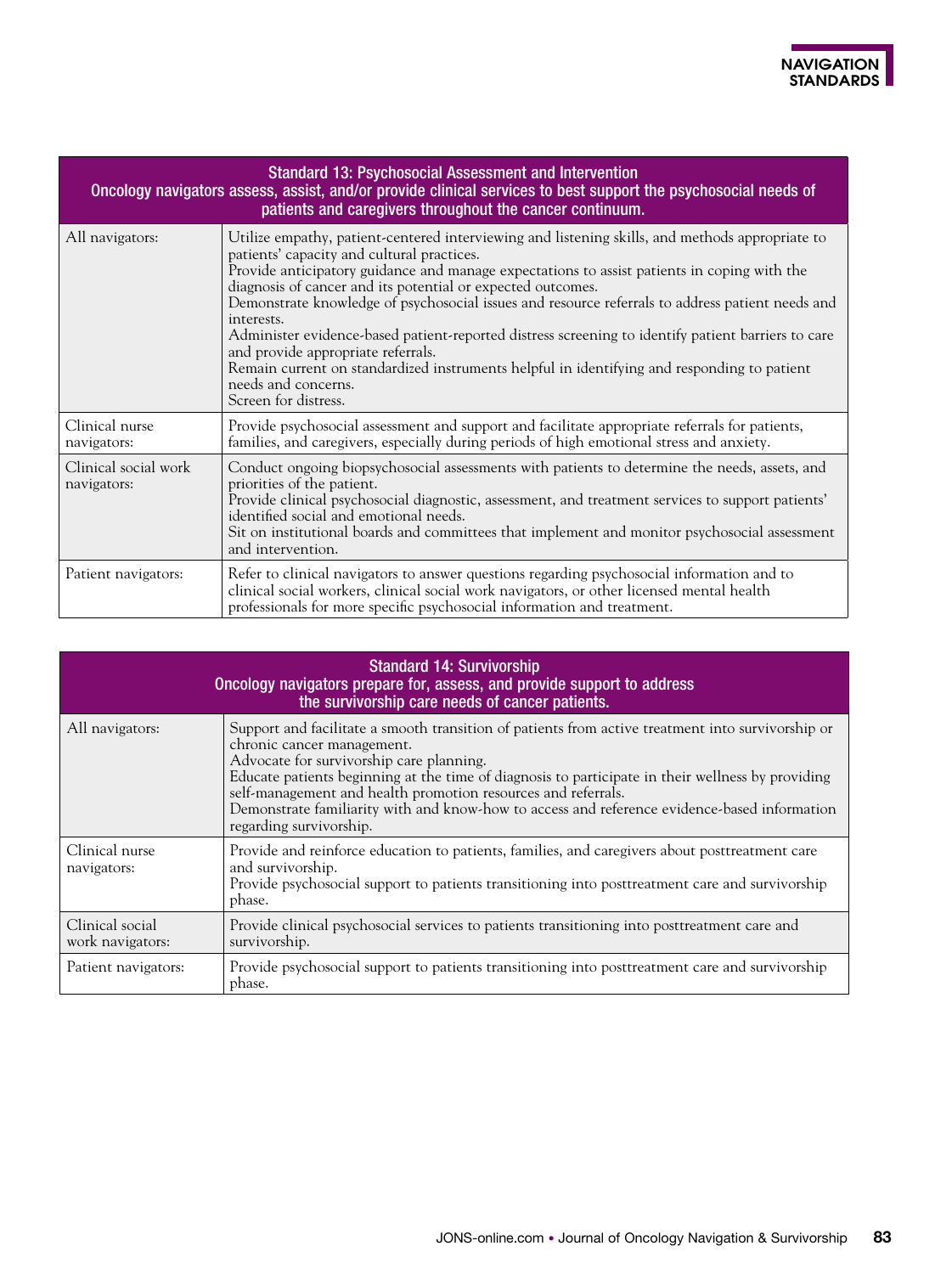| <b>Standard 13: Psychosocial Assessment and Intervention</b><br>Oncology navigators assess, assist, and/or provide clinical services to best support the psychosocial needs of<br>patients and caregivers throughout the cancer continuum. |                                                                                                                                                                                                                                                                                                                                                                                                                                                                                                                                                                                                                                                                                                                         |  |
|--------------------------------------------------------------------------------------------------------------------------------------------------------------------------------------------------------------------------------------------|-------------------------------------------------------------------------------------------------------------------------------------------------------------------------------------------------------------------------------------------------------------------------------------------------------------------------------------------------------------------------------------------------------------------------------------------------------------------------------------------------------------------------------------------------------------------------------------------------------------------------------------------------------------------------------------------------------------------------|--|
| All navigators:                                                                                                                                                                                                                            | Utilize empathy, patient-centered interviewing and listening skills, and methods appropriate to<br>patients' capacity and cultural practices.<br>Provide anticipatory guidance and manage expectations to assist patients in coping with the<br>diagnosis of cancer and its potential or expected outcomes.<br>Demonstrate knowledge of psychosocial issues and resource referrals to address patient needs and<br>interests.<br>Administer evidence-based patient-reported distress screening to identify patient barriers to care<br>and provide appropriate referrals.<br>Remain current on standardized instruments helpful in identifying and responding to patient<br>needs and concerns.<br>Screen for distress. |  |
| Clinical nurse<br>navigators:                                                                                                                                                                                                              | Provide psychosocial assessment and support and facilitate appropriate referrals for patients,<br>families, and caregivers, especially during periods of high emotional stress and anxiety.                                                                                                                                                                                                                                                                                                                                                                                                                                                                                                                             |  |
| Clinical social work<br>navigators:                                                                                                                                                                                                        | Conduct ongoing biopsychosocial assessments with patients to determine the needs, assets, and<br>priorities of the patient.<br>Provide clinical psychosocial diagnostic, assessment, and treatment services to support patients'<br>identified social and emotional needs.<br>Sit on institutional boards and committees that implement and monitor psychosocial assessment<br>and intervention.                                                                                                                                                                                                                                                                                                                        |  |
| Patient navigators:                                                                                                                                                                                                                        | Refer to clinical navigators to answer questions regarding psychosocial information and to<br>clinical social workers, clinical social work navigators, or other licensed mental health<br>professionals for more specific psychosocial information and treatment.                                                                                                                                                                                                                                                                                                                                                                                                                                                      |  |

| <b>Standard 14: Survivorship</b><br>Oncology navigators prepare for, assess, and provide support to address<br>the survivorship care needs of cancer patients. |                                                                                                                                                                                                                                                                                                                                                                                                                                                                              |  |
|----------------------------------------------------------------------------------------------------------------------------------------------------------------|------------------------------------------------------------------------------------------------------------------------------------------------------------------------------------------------------------------------------------------------------------------------------------------------------------------------------------------------------------------------------------------------------------------------------------------------------------------------------|--|
| All navigators:                                                                                                                                                | Support and facilitate a smooth transition of patients from active treatment into survivorship or<br>chronic cancer management.<br>Advocate for survivorship care planning.<br>Educate patients beginning at the time of diagnosis to participate in their wellness by providing<br>self-management and health promotion resources and referrals.<br>Demonstrate familiarity with and know-how to access and reference evidence-based information<br>regarding survivorship. |  |
| Clinical nurse<br>navigators:                                                                                                                                  | Provide and reinforce education to patients, families, and caregivers about posttreatment care<br>and survivorship.<br>Provide psychosocial support to patients transitioning into posttreatment care and survivorship<br>phase.                                                                                                                                                                                                                                             |  |
| Clinical social<br>work navigators:                                                                                                                            | Provide clinical psychosocial services to patients transitioning into posttreatment care and<br>survivorship.                                                                                                                                                                                                                                                                                                                                                                |  |
| Patient navigators:                                                                                                                                            | Provide psychosocial support to patients transitioning into posttreatment care and survivorship<br>phase.                                                                                                                                                                                                                                                                                                                                                                    |  |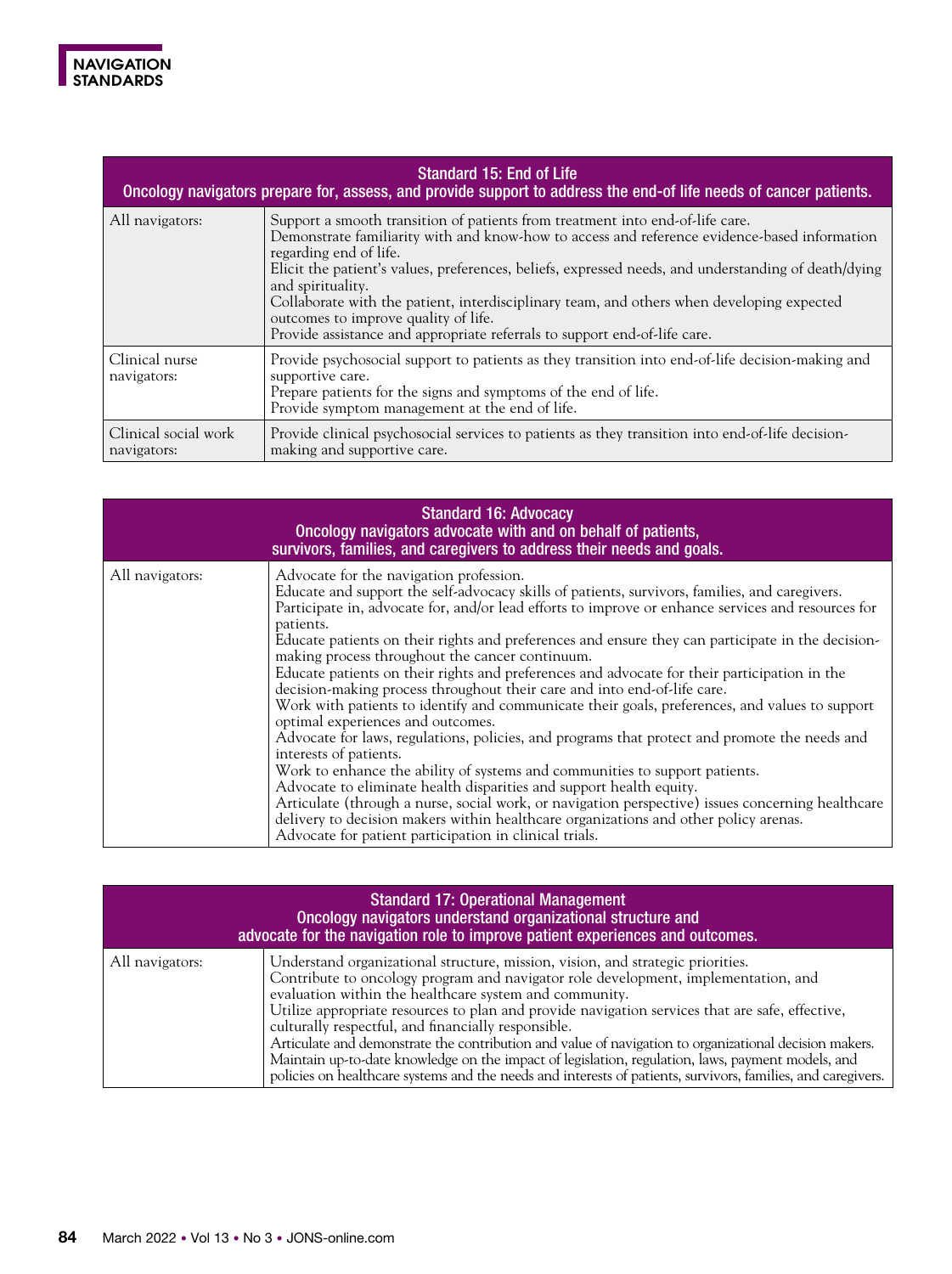

| Standard 15: End of Life<br>Oncology navigators prepare for, assess, and provide support to address the end-of life needs of cancer patients. |                                                                                                                                                                                                                                                                                                                                                                                                                                                                                                                                                        |  |
|-----------------------------------------------------------------------------------------------------------------------------------------------|--------------------------------------------------------------------------------------------------------------------------------------------------------------------------------------------------------------------------------------------------------------------------------------------------------------------------------------------------------------------------------------------------------------------------------------------------------------------------------------------------------------------------------------------------------|--|
| All navigators:                                                                                                                               | Support a smooth transition of patients from treatment into end-of-life care.<br>Demonstrate familiarity with and know-how to access and reference evidence-based information<br>regarding end of life.<br>Elicit the patient's values, preferences, beliefs, expressed needs, and understanding of death/dying<br>and spirituality.<br>Collaborate with the patient, interdisciplinary team, and others when developing expected<br>outcomes to improve quality of life.<br>Provide assistance and appropriate referrals to support end-of-life care. |  |
| Clinical nurse<br>navigators:                                                                                                                 | Provide psychosocial support to patients as they transition into end-of-life decision-making and<br>supportive care.<br>Prepare patients for the signs and symptoms of the end of life.<br>Provide symptom management at the end of life.                                                                                                                                                                                                                                                                                                              |  |
| Clinical social work<br>navigators:                                                                                                           | Provide clinical psychosocial services to patients as they transition into end-of-life decision-<br>making and supportive care.                                                                                                                                                                                                                                                                                                                                                                                                                        |  |

| <b>Standard 16: Advocacy</b><br>Oncology navigators advocate with and on behalf of patients,<br>survivors, families, and caregivers to address their needs and goals. |                                                                                                                                                                                                                                                                                                                                                                                                                                                                                                                                                                                                                                                                                                                                                                                                                                                                                                                                                                                                                                                                                                                                                                                                                                                                                 |  |
|-----------------------------------------------------------------------------------------------------------------------------------------------------------------------|---------------------------------------------------------------------------------------------------------------------------------------------------------------------------------------------------------------------------------------------------------------------------------------------------------------------------------------------------------------------------------------------------------------------------------------------------------------------------------------------------------------------------------------------------------------------------------------------------------------------------------------------------------------------------------------------------------------------------------------------------------------------------------------------------------------------------------------------------------------------------------------------------------------------------------------------------------------------------------------------------------------------------------------------------------------------------------------------------------------------------------------------------------------------------------------------------------------------------------------------------------------------------------|--|
| All navigators:                                                                                                                                                       | Advocate for the navigation profession.<br>Educate and support the self-advocacy skills of patients, survivors, families, and caregivers.<br>Participate in, advocate for, and/or lead efforts to improve or enhance services and resources for<br>patients.<br>Educate patients on their rights and preferences and ensure they can participate in the decision-<br>making process throughout the cancer continuum.<br>Educate patients on their rights and preferences and advocate for their participation in the<br>decision-making process throughout their care and into end-of-life care.<br>Work with patients to identify and communicate their goals, preferences, and values to support<br>optimal experiences and outcomes.<br>Advocate for laws, regulations, policies, and programs that protect and promote the needs and<br>interests of patients.<br>Work to enhance the ability of systems and communities to support patients.<br>Advocate to eliminate health disparities and support health equity.<br>Articulate (through a nurse, social work, or navigation perspective) issues concerning healthcare<br>delivery to decision makers within healthcare organizations and other policy arenas.<br>Advocate for patient participation in clinical trials. |  |

| <b>Standard 17: Operational Management</b><br>Oncology navigators understand organizational structure and<br>advocate for the navigation role to improve patient experiences and outcomes. |                                                                                                                                                                                                                                                                                                                                                                                                                                                                                                                                                                                                                                                                                                                          |  |
|--------------------------------------------------------------------------------------------------------------------------------------------------------------------------------------------|--------------------------------------------------------------------------------------------------------------------------------------------------------------------------------------------------------------------------------------------------------------------------------------------------------------------------------------------------------------------------------------------------------------------------------------------------------------------------------------------------------------------------------------------------------------------------------------------------------------------------------------------------------------------------------------------------------------------------|--|
| All navigators:                                                                                                                                                                            | Understand organizational structure, mission, vision, and strategic priorities.<br>Contribute to oncology program and navigator role development, implementation, and<br>evaluation within the healthcare system and community.<br>Utilize appropriate resources to plan and provide navigation services that are safe, effective,<br>culturally respectful, and financially responsible.<br>Articulate and demonstrate the contribution and value of navigation to organizational decision makers.<br>Maintain up-to-date knowledge on the impact of legislation, regulation, laws, payment models, and<br>policies on healthcare systems and the needs and interests of patients, survivors, families, and caregivers. |  |